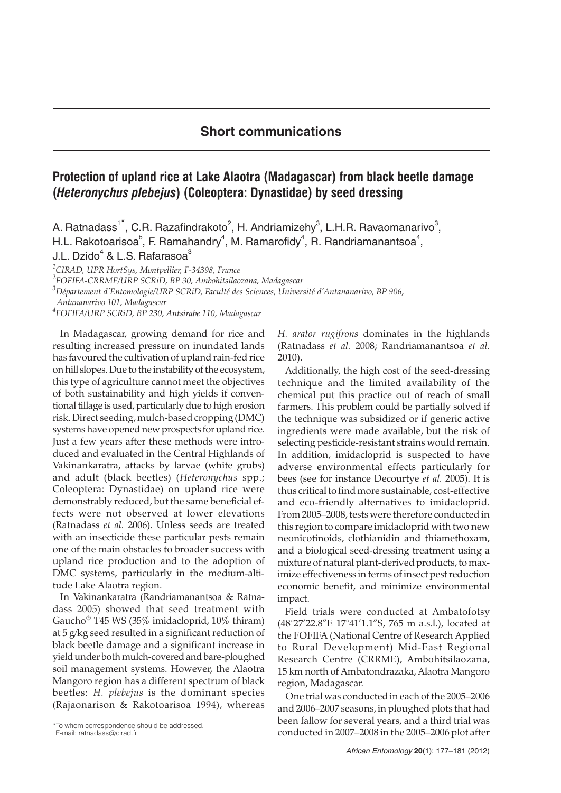## **Short communications**

## **Protection of upland rice at Lake Alaotra (Madagascar) from black beetle damage (***Heteronychus plebejus***) (Coleoptera: Dynastidae) by seed dressing**

A. Ratnadass<sup>1\*</sup>, C.R. Razafindrakoto<sup>2</sup>, H. Andriamizehy<sup>3</sup>, L.H.R. Ravaomanarivo<sup>3</sup>, H.L. Rakotoarisoa $^{\circ}$ , F. Ramahandry $^4$ , M. Ramarofidy $^4$ , R. Randriamanantsoa $^4$ ,

J.L. Dzido $4$  & L.S. Rafarasoa $3$ 

*1 CIRAD, UPR HortSys, Montpellier, F-34398, France*

*2 FOFIFA-CRRME/URP SCRiD, BP 30, Ambohitsilaozana, Madagascar*

*3 Département d'Entomologie/URP SCRiD, Faculté des Sciences, Université d'Antananarivo, BP 906,*

*Antananarivo 101, Madagascar*

*4 FOFIFA/URP SCRiD, BP 230, Antsirabe 110, Madagascar*

In Madagascar, growing demand for rice and resulting increased pressure on inundated lands has favoured the cultivation of upland rain-fed rice on hill slopes. Due to the instability of the ecosystem, this type of agriculture cannot meet the objectives of both sustainability and high yields if conventional tillage is used, particularly due to high erosion risk. Direct seeding, mulch-based cropping (DMC) systems have opened new prospects for upland rice. Just a few years after these methods were introduced and evaluated in the Central Highlands of Vakinankaratra, attacks by larvae (white grubs) and adult (black beetles) (*Heteronychus* spp.; Coleoptera: Dynastidae) on upland rice were demonstrably reduced, but the same beneficial effects were not observed at lower elevations (Ratnadass *et al.* 2006). Unless seeds are treated with an insecticide these particular pests remain one of the main obstacles to broader success with upland rice production and to the adoption of DMC systems, particularly in the medium-altitude Lake Alaotra region.

In Vakinankaratra (Randriamanantsoa & Ratnadass 2005) showed that seed treatment with Gaucho® T45 WS (35% imidacloprid, 10% thiram) at 5 g/kg seed resulted in a significant reduction of black beetle damage and a significant increase in yield under both mulch-covered and bare-ploughed soil management systems. However, the Alaotra Mangoro region has a different spectrum of black beetles: *H. plebejus* is the dominant species (Rajaonarison & Rakotoarisoa 1994), whereas

*H. arator rugifrons* dominates in the highlands (Ratnadass *et al.* 2008; Randriamanantsoa *et al.* 2010).

Additionally, the high cost of the seed-dressing technique and the limited availability of the chemical put this practice out of reach of small farmers. This problem could be partially solved if the technique was subsidized or if generic active ingredients were made available, but the risk of selecting pesticide-resistant strains would remain. In addition, imidacloprid is suspected to have adverse environmental effects particularly for bees (see for instance Decourtye *et al.* 2005). It is thus critical to find more sustainable, cost-effective and eco-friendly alternatives to imidacloprid. From 2005–2008, tests were therefore conducted in this region to compare imidacloprid with two new neonicotinoids, clothianidin and thiamethoxam, and a biological seed-dressing treatment using a mixture of natural plant-derived products, to maximize effectiveness in terms of insect pest reduction economic benefit, and minimize environmental impact.

Field trials were conducted at Ambatofotsy (48°27'22.8"E 17°41'1.1"S, 765 m a.s.l.), located at the FOFIFA (National Centre of Research Applied to Rural Development) Mid-East Regional Research Centre (CRRME), Ambohitsilaozana, 15 km north of Ambatondrazaka, Alaotra Mangoro region, Madagascar.

One trial was conducted in each of the 2005–2006 and 2006–2007 seasons, in ploughed plots that had been fallow for several years, and a third trial was conducted in 2007–2008 in the 2005–2006 plot after

<sup>\*</sup>To whom correspondence should be addressed.

E-mail: ratnadass@cirad.fr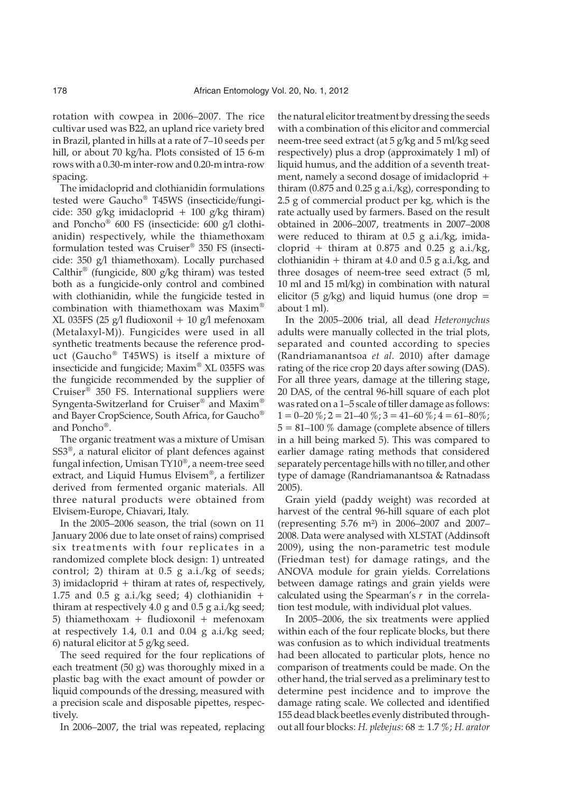rotation with cowpea in 2006–2007. The rice cultivar used was B22, an upland rice variety bred in Brazil, planted in hills at a rate of 7–10 seeds per hill, or about 70 kg/ha. Plots consisted of 15 6-m rows with a 0.30-m inter-row and 0.20-m intra-row spacing.

The imidacloprid and clothianidin formulations tested were Gaucho® T45WS (insecticide/fungicide: 350 g/kg imidacloprid + 100 g/kg thiram) and Poncho® 600 FS (insecticide: 600 g/l clothianidin) respectively, while the thiamethoxam formulation tested was Cruiser® 350 FS (insecticide: 350 g/l thiamethoxam). Locally purchased Calthir® (fungicide, 800 g/kg thiram) was tested both as a fungicide-only control and combined with clothianidin, while the fungicide tested in combination with thiamethoxam was Maxim® XL 035FS (25 g/l fludioxonil + 10 g/l mefenoxam (Metalaxyl-M)). Fungicides were used in all synthetic treatments because the reference product (Gaucho® T45WS) is itself a mixture of insecticide and fungicide; Maxim® XL 035FS was the fungicide recommended by the supplier of Cruiser® 350 FS. International suppliers were Syngenta-Switzerland for Cruiser® and Maxim® and Bayer CropScience, South Africa, for Gaucho® and Poncho®.

The organic treatment was a mixture of Umisan SS3®, a natural elicitor of plant defences against fungal infection, Umisan TY10®, a neem-tree seed extract, and Liquid Humus Elvisem®, a fertilizer derived from fermented organic materials. All three natural products were obtained from Elvisem-Europe, Chiavari, Italy.

In the 2005–2006 season, the trial (sown on 11 January 2006 due to late onset of rains) comprised six treatments with four replicates in a randomized complete block design: 1) untreated control; 2) thiram at 0.5 g a.i./kg of seeds; 3) imidacloprid + thiram at rates of, respectively, 1.75 and 0.5 g a.i./kg seed; 4) clothianidin  $+$ thiram at respectively 4.0 g and 0.5 g a.i./kg seed; 5) thiamethoxam + fludioxonil + mefenoxam at respectively 1.4, 0.1 and 0.04 g a.i./kg seed; 6) natural elicitor at 5 g/kg seed.

The seed required for the four replications of each treatment (50 g) was thoroughly mixed in a plastic bag with the exact amount of powder or liquid compounds of the dressing, measured with a precision scale and disposable pipettes, respectively.

In 2006–2007, the trial was repeated, replacing

the natural elicitor treatment by dressing the seeds with a combination of this elicitor and commercial neem-tree seed extract (at 5 g/kg and 5 ml/kg seed respectively) plus a drop (approximately 1 ml) of liquid humus, and the addition of a seventh treatment, namely a second dosage of imidacloprid + thiram (0.875 and 0.25 g a.i./kg), corresponding to 2.5 g of commercial product per kg, which is the rate actually used by farmers. Based on the result obtained in 2006–2007, treatments in 2007–2008 were reduced to thiram at 0.5 g a.i./kg, imidacloprid + thiram at  $0.875$  and  $0.25$  g a.i./kg, clothianidin  $+$  thiram at 4.0 and 0.5 g a.i./kg, and three dosages of neem-tree seed extract (5 ml, 10 ml and 15 ml/kg) in combination with natural elicitor (5  $g/kg$ ) and liquid humus (one drop = about 1 ml).

In the 2005–2006 trial, all dead *Heteronychus* adults were manually collected in the trial plots, separated and counted according to species (Randriamanantsoa *et al.* 2010) after damage rating of the rice crop 20 days after sowing (DAS). For all three years, damage at the tillering stage, 20 DAS, of the central 96-hill square of each plot was rated on a 1–5 scale of tiller damage as follows:  $1 = 0 - 20\%$ ;  $2 = 21 - 40\%$ ;  $3 = 41 - 60\%$ ;  $4 = 61 - 80\%$ ;  $5 = 81 - 100\%$  damage (complete absence of tillers in a hill being marked 5). This was compared to earlier damage rating methods that considered separately percentage hills with no tiller, and other type of damage (Randriamanantsoa & Ratnadass 2005).

Grain yield (paddy weight) was recorded at harvest of the central 96-hill square of each plot (representing 5.76 m²) in 2006–2007 and 2007– 2008. Data were analysed with XLSTAT (Addinsoft 2009), using the non-parametric test module (Friedman test) for damage ratings, and the ANOVA module for grain yields. Correlations between damage ratings and grain yields were calculated using the Spearman's *r* in the correlation test module, with individual plot values.

In 2005–2006, the six treatments were applied within each of the four replicate blocks, but there was confusion as to which individual treatments had been allocated to particular plots, hence no comparison of treatments could be made. On the other hand, the trial served as a preliminary test to determine pest incidence and to improve the damage rating scale. We collected and identified 155 dead black beetles evenly distributed throughout all four blocks: *H. plebejus*: 68 ± 1.7 %; *H. arator*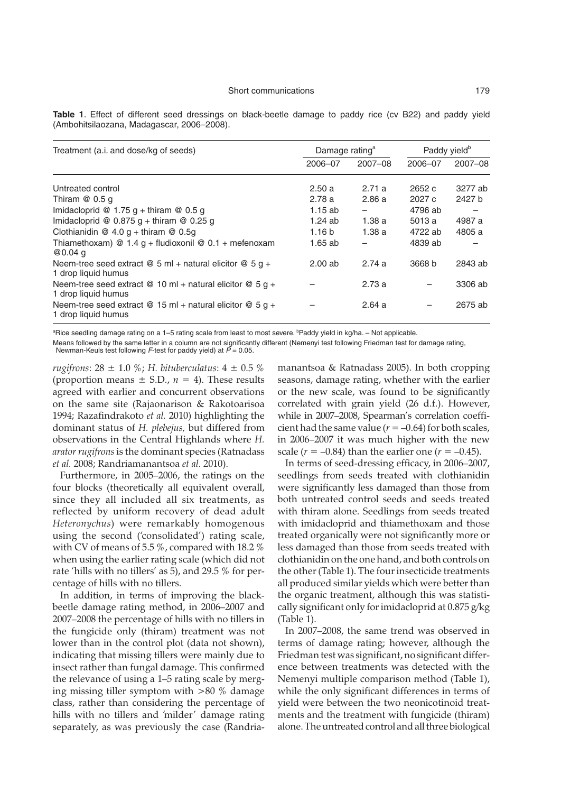| Treatment (a.i. and dose/kg of seeds)                                            | Damage rating <sup>a</sup> |         | Paddy yield <sup>b</sup> |         |
|----------------------------------------------------------------------------------|----------------------------|---------|--------------------------|---------|
|                                                                                  | 2006-07                    | 2007-08 | 2006-07                  | 2007-08 |
| Untreated control                                                                | 2.50a                      | 2.71a   | 2652 c                   | 3277 ab |
| Thiram $@0.5q$                                                                   | 2.78a                      | 2.86a   | 2027c                    | 2427 b  |
| Imidacloprid @ 1.75 g + thiram @ 0.5 g                                           | 1.15ab                     |         | 4796 ab                  |         |
| Imidacloprid @ $0.875$ g + thiram @ 0.25 g                                       | 1.24ab                     | 1.38a   | 5013 a                   | 4987 a  |
| Clothianidin $@$ 4.0 $q$ + thiram $@$ 0.5 $q$                                    | 1.16 <sub>b</sub>          | 1.38a   | 4722 ab                  | 4805 a  |
| Thiamethoxam) @ $1.4$ g + fludioxonil @ 0.1 + mefenoxam<br>$@0.04$ a             | $1.65$ ab                  |         | 4839 ab                  |         |
| Neem-tree seed extract @ 5 ml + natural elicitor @ 5 g +<br>1 drop liquid humus  | $2.00$ ab                  | 2.74a   | 3668 b                   | 2843 ab |
| Neem-tree seed extract @ 10 ml + natural elicitor @ 5 g +<br>1 drop liquid humus |                            | 2.73a   |                          | 3306 ab |
| Neem-tree seed extract @ 15 ml + natural elicitor @ 5 g +<br>1 drop liquid humus |                            | 2.64a   |                          | 2675 ab |

**Table 1**. Effect of different seed dressings on black-beetle damage to paddy rice (cv B22) and paddy yield (Ambohitsilaozana, Madagascar, 2006–2008).

<sup>a</sup>Rice seedling damage rating on a 1–5 rating scale from least to most severe. <sup>b</sup>Paddy yield in kg/ha. – Not applicable.

Means followed by the same letter in a column are not significantly different (Nemenyi test following Friedman test for damage rating, Newman-Keuls test following F-test for paddy yield) at  $\tilde{P} = 0.05$ .

*rugifrons*: 28 ± 1.0 %; *H. bituberculatus*: 4 ± 0.5 % (proportion means  $\pm$  S.D.,  $n = 4$ ). These results agreed with earlier and concurrent observations on the same site (Rajaonarison & Rakotoarisoa 1994; Razafindrakoto *et al.* 2010) highlighting the dominant status of *H. plebejus,* but differed from observations in the Central Highlands where *H. arator rugifrons* is the dominant species (Ratnadass *et al.* 2008; Randriamanantsoa *et al.* 2010).

Furthermore, in 2005–2006, the ratings on the four blocks (theoretically all equivalent overall, since they all included all six treatments, as reflected by uniform recovery of dead adult *Heteronychus*) were remarkably homogenous using the second ('consolidated') rating scale, with CV of means of 5.5 %, compared with 18.2 % when using the earlier rating scale (which did not rate 'hills with no tillers' as 5), and 29.5 % for percentage of hills with no tillers.

In addition, in terms of improving the blackbeetle damage rating method, in 2006–2007 and 2007–2008 the percentage of hills with no tillers in the fungicide only (thiram) treatment was not lower than in the control plot (data not shown), indicating that missing tillers were mainly due to insect rather than fungal damage. This confirmed the relevance of using a 1–5 rating scale by merging missing tiller symptom with >80 % damage class, rather than considering the percentage of hills with no tillers and 'milder' damage rating separately, as was previously the case (Randria-

manantsoa & Ratnadass 2005). In both cropping seasons, damage rating, whether with the earlier or the new scale, was found to be significantly correlated with grain yield (26 d.f.). However, while in 2007–2008, Spearman's correlation coefficient had the same value  $(r = -0.64)$  for both scales, in 2006–2007 it was much higher with the new scale  $(r = -0.84)$  than the earlier one  $(r = -0.45)$ .

In terms of seed-dressing efficacy, in 2006–2007, seedlings from seeds treated with clothianidin were significantly less damaged than those from both untreated control seeds and seeds treated with thiram alone. Seedlings from seeds treated with imidacloprid and thiamethoxam and those treated organically were not significantly more or less damaged than those from seeds treated with clothianidin on the one hand, and both controls on the other (Table 1). The four insecticide treatments all produced similar yields which were better than the organic treatment, although this was statistically significant only for imidacloprid at 0.875 g/kg (Table 1).

In 2007–2008, the same trend was observed in terms of damage rating; however, although the Friedman test was significant, no significant difference between treatments was detected with the Nemenyi multiple comparison method (Table 1), while the only significant differences in terms of yield were between the two neonicotinoid treatments and the treatment with fungicide (thiram) alone. The untreated control and all three biological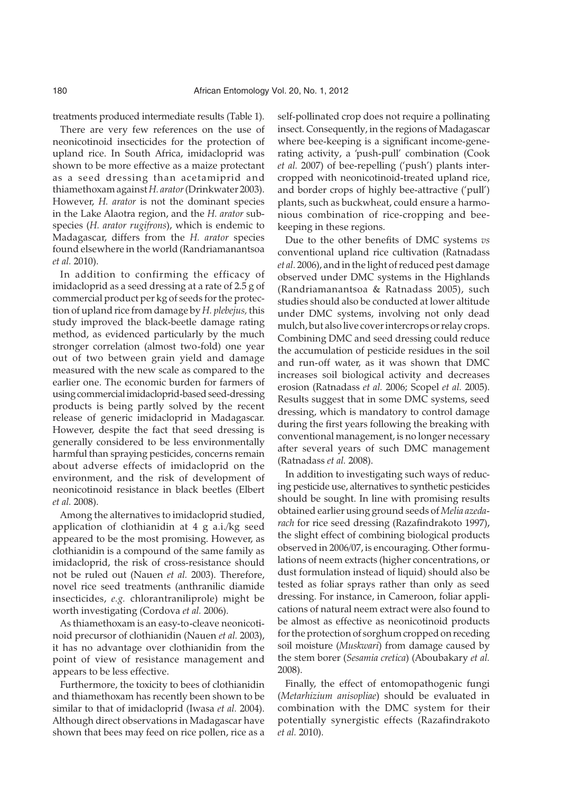treatments produced intermediate results (Table 1).

There are very few references on the use of neonicotinoid insecticides for the protection of upland rice. In South Africa, imidacloprid was shown to be more effective as a maize protectant as a seed dressing than acetamiprid and thiamethoxam against*H. arator*(Drinkwater 2003). However, *H. arator* is not the dominant species in the Lake Alaotra region, and the *H. arator* subspecies (*H. arator rugifrons*), which is endemic to Madagascar, differs from the *H. arator* species found elsewhere in the world (Randriamanantsoa *et al.* 2010).

In addition to confirming the efficacy of imidacloprid as a seed dressing at a rate of 2.5 g of commercial product per kg of seeds for the protection of upland rice from damage by *H. plebejus,* this study improved the black-beetle damage rating method, as evidenced particularly by the much stronger correlation (almost two-fold) one year out of two between grain yield and damage measured with the new scale as compared to the earlier one. The economic burden for farmers of using commercial imidacloprid-based seed-dressing products is being partly solved by the recent release of generic imidacloprid in Madagascar. However, despite the fact that seed dressing is generally considered to be less environmentally harmful than spraying pesticides, concerns remain about adverse effects of imidacloprid on the environment, and the risk of development of neonicotinoid resistance in black beetles (Elbert *et al.* 2008).

Among the alternatives to imidacloprid studied, application of clothianidin at 4 g a.i./kg seed appeared to be the most promising. However, as clothianidin is a compound of the same family as imidacloprid, the risk of cross-resistance should not be ruled out (Nauen *et al.* 2003). Therefore, novel rice seed treatments (anthranilic diamide insecticides, *e.g.* chlorantraniliprole) might be worth investigating (Cordova *et al.* 2006).

As thiamethoxam is an easy-to-cleave neonicotinoid precursor of clothianidin (Nauen *et al.* 2003), it has no advantage over clothianidin from the point of view of resistance management and appears to be less effective.

Furthermore, the toxicity to bees of clothianidin and thiamethoxam has recently been shown to be similar to that of imidacloprid (Iwasa *et al.* 2004). Although direct observations in Madagascar have shown that bees may feed on rice pollen, rice as a

self-pollinated crop does not require a pollinating insect. Consequently, in the regions of Madagascar where bee-keeping is a significant income-generating activity, a 'push-pull' combination (Cook *et al.* 2007) of bee-repelling ('push') plants intercropped with neonicotinoid-treated upland rice, and border crops of highly bee-attractive ('pull') plants, such as buckwheat, could ensure a harmonious combination of rice-cropping and beekeeping in these regions.

Due to the other benefits of DMC systems *vs* conventional upland rice cultivation (Ratnadass *et al.* 2006), and in the light of reduced pest damage observed under DMC systems in the Highlands (Randriamanantsoa & Ratnadass 2005), such studies should also be conducted at lower altitude under DMC systems, involving not only dead mulch, but also live cover intercrops or relay crops. Combining DMC and seed dressing could reduce the accumulation of pesticide residues in the soil and run-off water, as it was shown that DMC increases soil biological activity and decreases erosion (Ratnadass *et al.* 2006; Scopel *et al.* 2005). Results suggest that in some DMC systems, seed dressing, which is mandatory to control damage during the first years following the breaking with conventional management, is no longer necessary after several years of such DMC management (Ratnadass *et al.* 2008).

In addition to investigating such ways of reducing pesticide use, alternatives to synthetic pesticides should be sought. In line with promising results obtained earlier using ground seeds of *Melia azedarach* for rice seed dressing (Razafindrakoto 1997), the slight effect of combining biological products observed in 2006/07, is encouraging. Other formulations of neem extracts (higher concentrations, or dust formulation instead of liquid) should also be tested as foliar sprays rather than only as seed dressing. For instance, in Cameroon, foliar applications of natural neem extract were also found to be almost as effective as neonicotinoid products for the protection of sorghum cropped on receding soil moisture (*Muskwari*) from damage caused by the stem borer (*Sesamia cretica*) (Aboubakary *et al.* 2008).

Finally, the effect of entomopathogenic fungi (*Metarhizium anisopliae*) should be evaluated in combination with the DMC system for their potentially synergistic effects (Razafindrakoto *et al.* 2010).